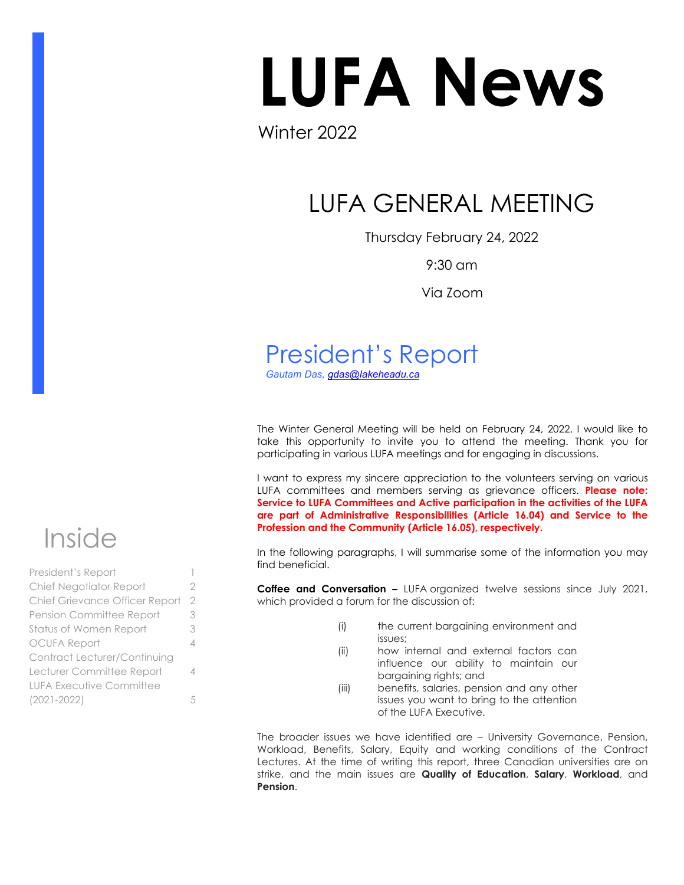# LUFA News

## Winter 2022

## LUFA GENERAL MEETING

Thursday February 24, 2022

9:30 am

Via Zoom

## President's Report

*Gautam Das, [gdas@lakeheadu.ca](about:blank)*

The Winter General Meeting will be held on February 24, 2022. I would like to take this opportunity to invite you to attend the meeting. Thank you for participating in various LUFA meetings and for engaging in discussions.

I want to express my sincere appreciation to the volunteers serving on various LUFA committees and members serving as grievance officers. **Please note: Service to LUFA Committees and Active participation in the activities of the LUFA are part of Administrative Responsibilities (Article 16.04) and Service to the Profession and the Community (Article 16.05), respectively.** 

In the following paragraphs, I will summarise some of the information you may find beneficial.

**Coffee and Conversation –** LUFA organized twelve sessions since July 2021, which provided a forum for the discussion of:

- (i) the current bargaining environment and issues;
- (ii) how internal and external factors can influence our ability to maintain our bargaining rights; and
- (iii) benefits, salaries, pension and any other issues you want to bring to the attention of the LUFA Executive.

The broader issues we have identified are – University Governance, Pension, Workload, Benefits, Salary, Equity and working conditions of the Contract Lectures. At the time of writing this report, three Canadian universities are on strike, and the main issues are **Quality of Education**, **Salary**, **Workload**, and **Pension**.



| President's Report                  |   |
|-------------------------------------|---|
| Chief Negotiator Report             | 2 |
| Chief Grievance Officer Report      | 2 |
| Pension Committee Report            | 3 |
| Status of Women Report              | 3 |
| <b>OCUFA Report</b>                 | 4 |
| <b>Contract Lecturer/Continuing</b> |   |
| Lecturer Committee Report           | 4 |
| <b>LUFA Executive Committee</b>     |   |
| $(2021 - 2022)$                     | 5 |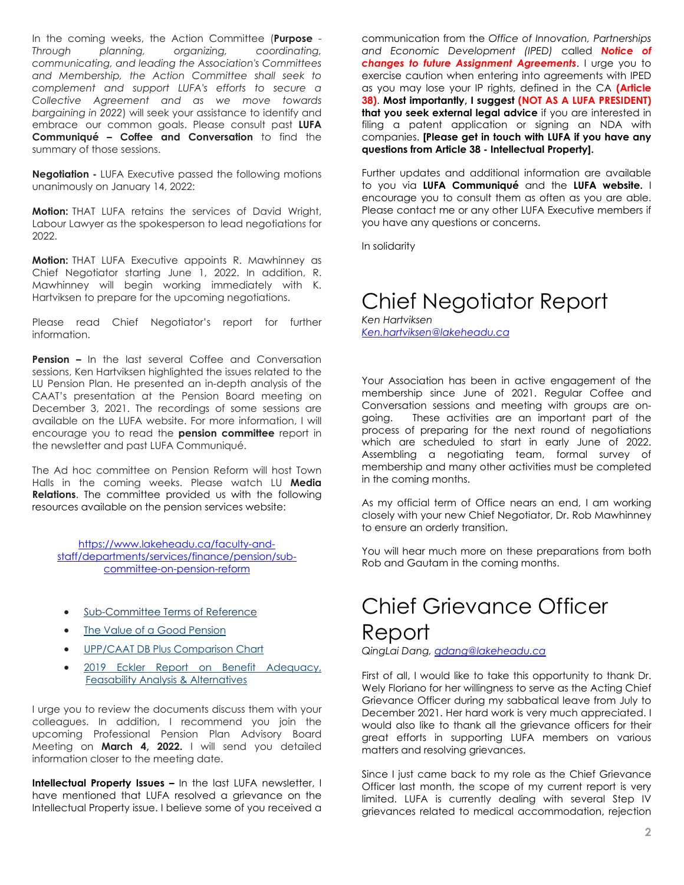In the coming weeks, the Action Committee (**Purpose** - *Through planning, organizing, coordinating, communicating, and leading the Association's Committees and Membership, the Action Committee shall seek to complement and support LUFA's efforts to secure a Collective Agreement and as we move towards bargaining in 2022*) will seek your assistance to identify and embrace our common goals. Please consult past **LUFA Communiqué – Coffee and Conversation** to find the summary of those sessions.

**Negotiation -** LUFA Executive passed the following motions unanimously on January 14, 2022:

**Motion:** THAT LUFA retains the services of David Wright, Labour Lawyer as the spokesperson to lead negotiations for 2022.

**Motion:** THAT LUFA Executive appoints R. Mawhinney as Chief Negotiator starting June 1, 2022. In addition, R. Mawhinney will begin working immediately with K. Hartviksen to prepare for the upcoming negotiations.

Please read Chief Negotiator's report for further information.

**Pension –** In the last several Coffee and Conversation sessions, Ken Hartviksen highlighted the issues related to the LU Pension Plan. He presented an in-depth analysis of the CAAT's presentation at the Pension Board meeting on December 3, 2021. The recordings of some sessions are available on the LUFA website. For more information, I will encourage you to read the **pension committee** report in the newsletter and past LUFA Communiqué.

The Ad hoc committee on Pension Reform will host Town Halls in the coming weeks. Please watch LU **Media Relations**. The committee provided us with the following resources available on the pension services website:

[https://www.lakeheadu.ca/faculty-and](https://www.lakeheadu.ca/faculty-and-staff/departments/services/finance/pension/sub-committee-on-pension-reform)[staff/departments/services/finance/pension/sub](https://www.lakeheadu.ca/faculty-and-staff/departments/services/finance/pension/sub-committee-on-pension-reform)[committee-on-pension-reform](https://www.lakeheadu.ca/faculty-and-staff/departments/services/finance/pension/sub-committee-on-pension-reform)

- [Sub-Committee Terms of Reference](https://www.lakeheadu.ca/sites/default/files/uploads/402/Microsoft%20Word%20-%20DRAFT%20Terms%20of%20Reference%20Ad%20Hoc%20Subcommittee%20on%20Pension%20Reform%20-%20August%202021.docx.pdf)
- **[The Value of a Good Pension](https://www.lakeheadu.ca/sites/default/files/uploads/402/the-value-of-a-good-pension-102018.pdf)**
- **[UPP/CAAT DB Plus Comparison Chart](https://www.lakeheadu.ca/sites/default/files/uploads/402/UPP%20and%20DBPlus%20Comparison%20Chart.pdf)**
- 2019 Eckler Report on Benefit Adequacy, [Feasability Analysis & Alternatives](https://www.lakeheadu.ca/sites/default/files/uploads/402/External%20Review%20of%20Professional%20Plan%20-%202020.pdf)

I urge you to review the documents discuss them with your colleagues. In addition, I recommend you join the upcoming Professional Pension Plan Advisory Board Meeting on **March 4, 2022.** I will send you detailed information closer to the meeting date.

**Intellectual Property Issues –** In the last LUFA newsletter, I have mentioned that LUFA resolved a grievance on the Intellectual Property issue. I believe some of you received a

communication from the *Office of Innovation, Partnerships and Economic Development (IPED)* called *Notice of changes to future Assignment Agreements*. I urge you to exercise caution when entering into agreements with IPED as you may lose your IP rights, defined in the CA **(Article 38)**. **Most importantly, I suggest (NOT AS A LUFA PRESIDENT) that you seek external legal advice** if you are interested in filing a patent application or signing an NDA with companies. **[Please get in touch with LUFA if you have any questions from Article 38 - Intellectual Property].** 

Further updates and additional information are available to you via **LUFA Communiqué** and the **LUFA website.** I encourage you to consult them as often as you are able. Please contact me or any other LUFA Executive members if you have any questions or concerns.

In solidarity

## Chief Negotiator Report

*Ken Hartviksen [Ken.hartviksen@lakeheadu.ca](about:blank)* 

Your Association has been in active engagement of the membership since June of 2021. Regular Coffee and Conversation sessions and meeting with groups are ongoing. These activities are an important part of the process of preparing for the next round of negotiations which are scheduled to start in early June of 2022. Assembling a negotiating team, formal survey of membership and many other activities must be completed in the coming months.

As my official term of Office nears an end, I am working closely with your new Chief Negotiator, Dr. Rob Mawhinney to ensure an orderly transition.

You will hear much more on these preparations from both Rob and Gautam in the coming months.

## Chief Grievance Officer Report

*QingLai Dang, [qdang@lakeheadu.ca](mailto:qdang@lakeheadu.ca)*

First of all, I would like to take this opportunity to thank Dr. Wely Floriano for her willingness to serve as the Acting Chief Grievance Officer during my sabbatical leave from July to December 2021. Her hard work is very much appreciated. I would also like to thank all the grievance officers for their great efforts in supporting LUFA members on various matters and resolving grievances.

Since I just came back to my role as the Chief Grievance Officer last month, the scope of my current report is very limited. LUFA is currently dealing with several Step IV grievances related to medical accommodation, rejection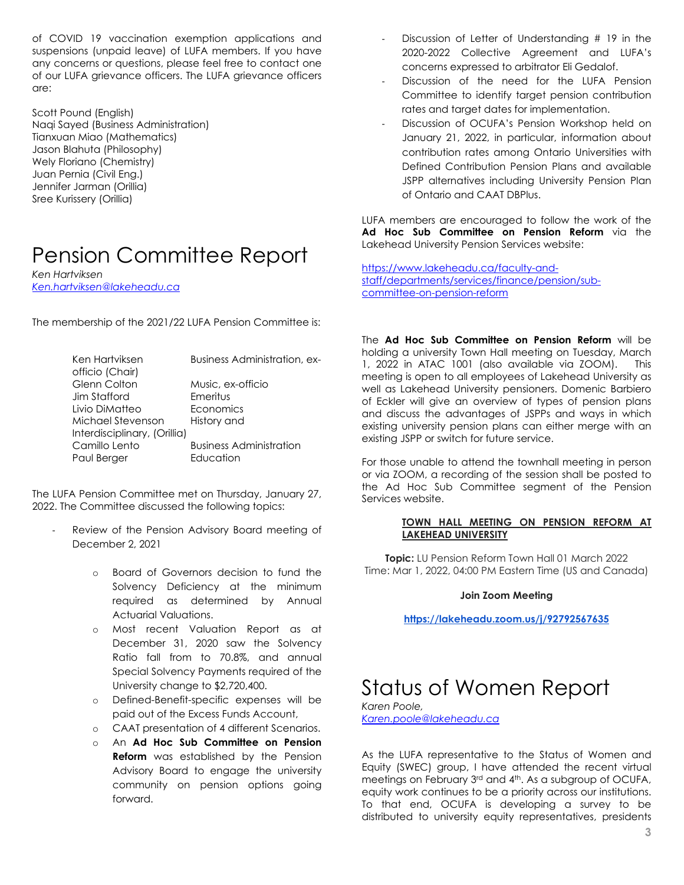of COVID 19 vaccination exemption applications and suspensions (unpaid leave) of LUFA members. If you have any concerns or questions, please feel free to contact one of our LUFA grievance officers. The LUFA grievance officers are:

Scott Pound (English) Naqi Sayed (Business Administration) Tianxuan Miao (Mathematics) Jason Blahuta (Philosophy) Wely Floriano (Chemistry) Juan Pernia (Civil Eng.) Jennifer Jarman (Orillia) Sree Kurissery (Orillia)

## Pension Committee Report

*Ken Hartviksen [Ken.hartviksen@lakeheadu.ca](about:blank)*

The membership of the 2021/22 LUFA Pension Committee is:

| Ken Hartviksen<br>officio (Chair) | <b>Business Administration, ex-</b> |
|-----------------------------------|-------------------------------------|
| Glenn Colton                      | Music, ex-officio                   |
| Jim Stafford                      | Emeritus                            |
| Livio DiMatteo                    | Economics                           |
| Michael Stevenson                 | History and                         |
| Interdisciplinary, (Orillia)      |                                     |
| Camillo Lento                     | <b>Business Administration</b>      |
| Paul Berger                       | Education                           |

The LUFA Pension Committee met on Thursday, January 27, 2022. The Committee discussed the following topics:

- Review of the Pension Advisory Board meeting of December 2, 2021
	- o Board of Governors decision to fund the Solvency Deficiency at the minimum required as determined by Annual Actuarial Valuations.
	- o Most recent Valuation Report as at December 31, 2020 saw the Solvency Ratio fall from to 70.8%, and annual Special Solvency Payments required of the University change to \$2,720,400.
	- o Defined-Benefit-specific expenses will be paid out of the Excess Funds Account,
	- o CAAT presentation of 4 different Scenarios.
	- o An **Ad Hoc Sub Committee on Pension Reform** was established by the Pension Advisory Board to engage the university community on pension options going forward.
- Discussion of Letter of Understanding # 19 in the 2020-2022 Collective Agreement and LUFA's concerns expressed to arbitrator Eli Gedalof.
- Discussion of the need for the LUFA Pension Committee to identify target pension contribution rates and target dates for implementation.
- Discussion of OCUFA's Pension Workshop held on January 21, 2022, in particular, information about contribution rates among Ontario Universities with Defined Contribution Pension Plans and available JSPP alternatives including University Pension Plan of Ontario and CAAT DBPlus.

LUFA members are encouraged to follow the work of the **Ad Hoc Sub Committee on Pension Reform** via the Lakehead University Pension Services website:

[https://www.lakeheadu.ca/faculty-and](https://www.lakeheadu.ca/faculty-and-staff/departments/services/finance/pension/sub-committee-on-pension-reform)[staff/departments/services/finance/pension/sub](https://www.lakeheadu.ca/faculty-and-staff/departments/services/finance/pension/sub-committee-on-pension-reform)[committee-on-pension-reform](https://www.lakeheadu.ca/faculty-and-staff/departments/services/finance/pension/sub-committee-on-pension-reform)

The **Ad Hoc Sub Committee on Pension Reform** will be holding a university Town Hall meeting on Tuesday, March 1, 2022 in ATAC 1001 (also available via ZOOM). This meeting is open to all employees of Lakehead University as well as Lakehead University pensioners. Domenic Barbiero of Eckler will give an overview of types of pension plans and discuss the advantages of JSPPs and ways in which existing university pension plans can either merge with an existing JSPP or switch for future service.

For those unable to attend the townhall meeting in person or via ZOOM, a recording of the session shall be posted to the Ad Hoc Sub Committee segment of the Pension Services website.

#### **TOWN HALL MEETING ON PENSION REFORM AT LAKEHEAD UNIVERSITY**

**Topic:** LU Pension Reform Town Hall 01 March 2022 Time: Mar 1, 2022, 04:00 PM Eastern Time (US and Canada)

#### **Join Zoom Meeting**

**<https://lakeheadu.zoom.us/j/92792567635>**

## Status of Women Report

*Karen Poole, [Karen.poole@lakeheadu.ca](mailto:Karen.poole@lakeheadu.ca)*

As the LUFA representative to the Status of Women and Equity (SWEC) group, I have attended the recent virtual meetings on February 3<sup>rd</sup> and 4<sup>th</sup>. As a subgroup of OCUFA, equity work continues to be a priority across our institutions. To that end, OCUFA is developing a survey to be distributed to university equity representatives, presidents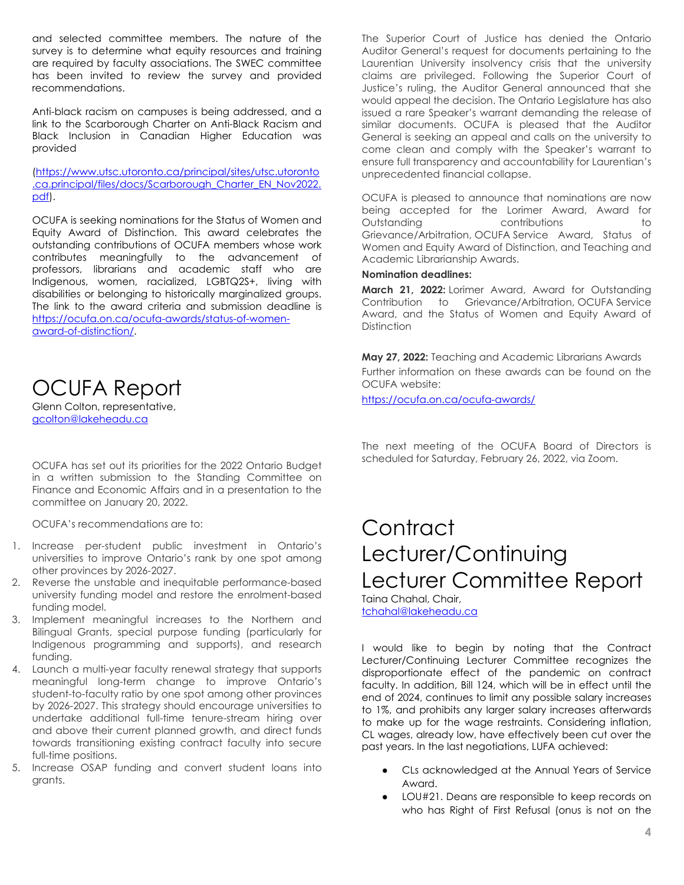and selected committee members. The nature of the survey is to determine what equity resources and training are required by faculty associations. The SWEC committee has been invited to review the survey and provided recommendations.

Anti-black racism on campuses is being addressed, and a link to the Scarborough Charter on Anti-Black Racism and Black Inclusion in Canadian Higher Education was provided

[\(https://www.utsc.utoronto.ca/principal/sites/utsc.utoronto](https://www.utsc.utoronto.ca/principal/sites/utsc.utoronto.ca.principal/files/docs/Scarborough_Charter_EN_Nov2022.pdf) [.ca.principal/files/docs/Scarborough\\_Charter\\_EN\\_Nov2022.](https://www.utsc.utoronto.ca/principal/sites/utsc.utoronto.ca.principal/files/docs/Scarborough_Charter_EN_Nov2022.pdf) [pdf\)](https://www.utsc.utoronto.ca/principal/sites/utsc.utoronto.ca.principal/files/docs/Scarborough_Charter_EN_Nov2022.pdf).

OCUFA is seeking nominations for the Status of Women and Equity Award of Distinction. This award celebrates the outstanding contributions of OCUFA members whose work contributes meaningfully to the advancement of professors, librarians and academic staff who are Indigenous, women, racialized, LGBTQ2S+, living with disabilities or belonging to historically marginalized groups. The link to the award criteria and submission deadline is [https://ocufa.on.ca/ocufa-awards/status-of-women](https://ocufa.on.ca/ocufa-awards/status-of-women-award-of-distinction/)[award-of-distinction/.](https://ocufa.on.ca/ocufa-awards/status-of-women-award-of-distinction/)

## OCUFA Report

Glenn Colton, representative, [gcolton@lakeheadu.ca](mailto:gcolton@lakeheadu.ca)

OCUFA has set out its priorities for the 2022 Ontario Budget in a written submission to the Standing Committee on Finance and Economic Affairs and in a presentation to the committee on January 20, 2022.

OCUFA's recommendations are to:

- 1. Increase per-student public investment in Ontario's universities to improve Ontario's rank by one spot among other provinces by 2026-2027.
- 2. Reverse the unstable and inequitable performance-based university funding model and restore the enrolment-based funding model.
- 3. Implement meaningful increases to the Northern and Bilingual Grants, special purpose funding (particularly for Indigenous programming and supports), and research funding.
- 4. Launch a multi-year faculty renewal strategy that supports meaningful long-term change to improve Ontario's student-to-faculty ratio by one spot among other provinces by 2026-2027. This strategy should encourage universities to undertake additional full-time tenure-stream hiring over and above their current planned growth, and direct funds towards transitioning existing contract faculty into secure full-time positions.
- 5. Increase OSAP funding and convert student loans into grants.

The Superior Court of Justice has denied the Ontario Auditor General's request for documents pertaining to the Laurentian University insolvency crisis that the university claims are privileged. Following the Superior Court of Justice's ruling, the Auditor General announced that she would appeal the decision. The Ontario Legislature has also issued a rare Speaker's warrant demanding the release of similar documents. OCUFA is pleased that the Auditor General is seeking an appeal and calls on the university to come clean and comply with the Speaker's warrant to ensure full transparency and accountability for Laurentian's unprecedented financial collapse.

OCUFA is pleased to announce that nominations are now being accepted for the Lorimer Award, Award for Outstanding contributions to Grievance/Arbitration, OCUFA Service Award, Status of Women and Equity Award of Distinction, and Teaching and Academic Librarianship Awards.

### **Nomination deadlines:**

**March 21, 2022:** Lorimer Award, Award for Outstanding Contribution to Grievance/Arbitration, OCUFA Service Award, and the Status of Women and Equity Award of **Distinction** 

**May 27, 2022:** Teaching and Academic Librarians Awards Further information on these awards can be found on the OCUFA website:

<https://ocufa.on.ca/ocufa-awards/>

The next meeting of the OCUFA Board of Directors is scheduled for Saturday, February 26, 2022, via Zoom.

## **Contract** Lecturer/Continuing Lecturer Committee Report

Taina Chahal, Chair, [tchahal@lakeheadu.ca](mailto:tchahal@lakeheadu.ca)

I would like to begin by noting that the Contract Lecturer/Continuing Lecturer Committee recognizes the disproportionate effect of the pandemic on contract faculty. In addition, Bill 124, which will be in effect until the end of 2024, continues to limit any possible salary increases to 1%, and prohibits any larger salary increases afterwards to make up for the wage restraints. Considering inflation, CL wages, already low, have effectively been cut over the past years. In the last negotiations, LUFA achieved:

- CLs acknowledged at the Annual Years of Service Award.
- LOU#21. Deans are responsible to keep records on who has Right of First Refusal (onus is not on the